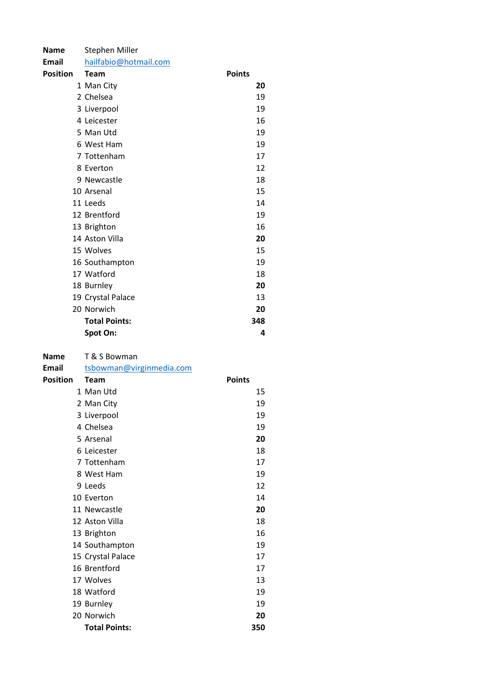| <b>Name</b>     | Stephen Miller           |               |
|-----------------|--------------------------|---------------|
| Email           | hailfabio@hotmail.com    |               |
| <b>Position</b> | <b>Team</b>              | <b>Points</b> |
|                 | 1 Man City               | 20            |
|                 | 2 Chelsea                | 19            |
|                 | 3 Liverpool              | 19            |
|                 | 4 Leicester              | 16            |
|                 | 5 Man Utd                | 19            |
|                 | 6 West Ham               | 19            |
|                 | 7 Tottenham              | 17            |
|                 | 8 Everton                | 12            |
|                 | 9 Newcastle              | 18            |
|                 | 10 Arsenal               | 15            |
|                 | 11 Leeds                 | 14            |
|                 | 12 Brentford             | 19            |
|                 | 13 Brighton              | 16            |
|                 | 14 Aston Villa           | 20            |
|                 | 15 Wolves                | 15            |
|                 | 16 Southampton           | 19            |
|                 | 17 Watford               | 18            |
|                 | 18 Burnley               | 20            |
|                 | 19 Crystal Palace        | 13            |
|                 | 20 Norwich               | 20            |
|                 | <b>Total Points:</b>     | 348           |
|                 | Spot On:                 | 4             |
|                 |                          |               |
| <b>Name</b>     |                          |               |
|                 | T & S Bowman             |               |
| Email           | tsbowman@virginmedia.com |               |
| <b>Position</b> | <b>Team</b>              | <b>Points</b> |
|                 | 1 Man Utd                | 15            |
|                 | 2 Man City               | 19            |
|                 | 3 Liverpool              | 19            |
|                 | 4 Chelsea                | 19            |
|                 | 5 Arsenal                | 20            |
|                 | 6 Leicester              | 18            |
|                 | 7 Tottenham              | 17            |
|                 | 8 West Ham               | 19            |
|                 | 9 Leeds                  | 12            |
|                 | 10 Everton               | 14            |
|                 | 11 Newcastle             | 20            |
|                 | 12 Aston Villa           | 18            |
|                 | 13 Brighton              | 16            |
|                 | 14 Southampton           | 19            |
|                 | 15 Crystal Palace        | 17            |
|                 | 16 Brentford             | 17            |
|                 | 17 Wolves                | 13            |

 Norwich 20 Total Points: 350

Burnley 19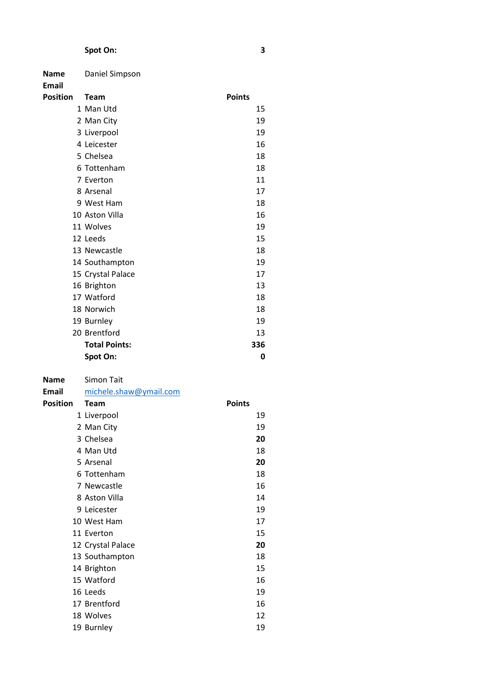# Spot On: 3

| <b>Name</b><br><b>Email</b> | Daniel Simpson       |               |
|-----------------------------|----------------------|---------------|
| <b>Position</b>             | <b>Team</b>          | <b>Points</b> |
|                             | 1 Man Utd            | 15            |
|                             | 2 Man City           | 19            |
|                             | 3 Liverpool          | 19            |
|                             | 4 Leicester          | 16            |
|                             | 5 Chelsea            | 18            |
|                             | 6 Tottenham          | 18            |
|                             | 7 Everton            | 11            |
|                             | 8 Arsenal            | 17            |
|                             | 9 West Ham           | 18            |
|                             | 10 Aston Villa       | 16            |
|                             | 11 Wolves            | 19            |
|                             | 12 Leeds             | 15            |
|                             | 13 Newcastle         | 18            |
|                             | 14 Southampton       | 19            |
|                             | 15 Crystal Palace    | 17            |
|                             | 16 Brighton          | 13            |
|                             | 17 Watford           | 18            |
|                             | 18 Norwich           | 18            |
|                             | 19 Burnley           | 19            |
|                             | 20 Brentford         | 13            |
|                             | <b>Total Points:</b> | 336           |
|                             | Spot On:             | 0             |

| <b>Name</b>     | Simon Tait             |               |  |
|-----------------|------------------------|---------------|--|
| <b>Email</b>    | michele.shaw@ymail.com |               |  |
| <b>Position</b> | <b>Team</b>            | <b>Points</b> |  |
|                 | 1 Liverpool            | 19            |  |
|                 | 2 Man City             | 19            |  |
|                 | 3 Chelsea              | 20            |  |
|                 | 4 Man Utd              | 18            |  |
|                 | 5 Arsenal              | 20            |  |
|                 | 6 Tottenham            | 18            |  |
|                 | 7 Newcastle            | 16            |  |
|                 | 8 Aston Villa          | 14            |  |
|                 | 9 Leicester            | 19            |  |
|                 | 10 West Ham            | 17            |  |
|                 | 11 Everton             | 15            |  |
|                 | 12 Crystal Palace      | 20            |  |
|                 | 13 Southampton         | 18            |  |
|                 | 14 Brighton            | 15            |  |
|                 | 15 Watford             | 16            |  |
|                 | 16 Leeds               | 19            |  |
|                 | 17 Brentford           | 16            |  |
|                 | 18 Wolves              | 12            |  |
|                 | 19 Burnley             | 19            |  |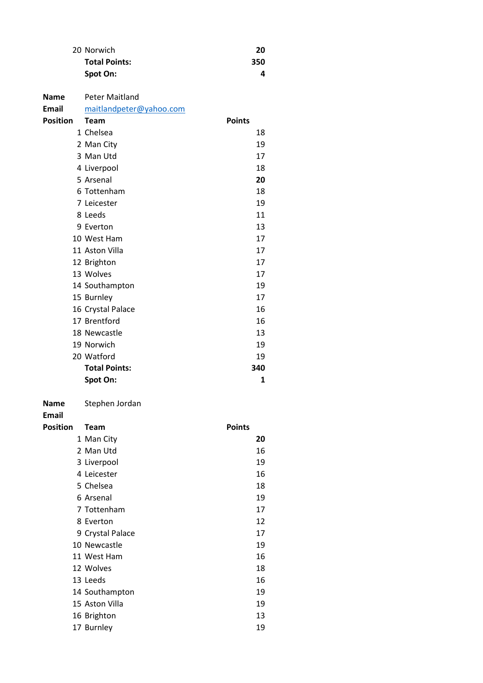| 20 Norwich           | 20  |
|----------------------|-----|
| <b>Total Points:</b> | 350 |
| Spot On:             |     |

| <b>Name</b>                 | <b>Peter Maitland</b>   |               |
|-----------------------------|-------------------------|---------------|
| <b>Email</b>                | maitlandpeter@yahoo.com |               |
| <b>Position</b>             | Team                    | <b>Points</b> |
|                             | 1 Chelsea               | 18            |
|                             | 2 Man City              | 19            |
|                             | 3 Man Utd               | 17            |
|                             | 4 Liverpool             | 18            |
|                             | 5 Arsenal               | 20            |
|                             | 6 Tottenham             | 18            |
|                             | 7 Leicester             | 19            |
|                             | 8 Leeds                 | 11            |
|                             | 9 Everton               | 13            |
|                             | 10 West Ham             | 17            |
|                             | 11 Aston Villa          | 17            |
|                             | 12 Brighton             | 17            |
|                             | 13 Wolves               | 17            |
|                             | 14 Southampton          | 19            |
|                             | 15 Burnley              | 17            |
|                             | 16 Crystal Palace       | 16            |
|                             | 17 Brentford            | 16            |
|                             | 18 Newcastle            | 13            |
|                             | 19 Norwich              | 19            |
|                             | 20 Watford              | 19            |
|                             | <b>Total Points:</b>    | 340           |
|                             | Spot On:                | 1             |
| <b>Name</b><br><b>Email</b> | Stephen Jordan          |               |
| <b>Position</b>             | <b>Team</b>             | <b>Points</b> |
|                             | 1 Man City              | 20            |
|                             | 2 Man Utd               | 16            |
|                             | 3 Liverpool             | 19            |
|                             | 4 Leicester             | 16            |
|                             | 5 Chelsea               | 18            |
|                             | 6 Arsenal               | 19            |

| 13 Leeds       | 16 |
|----------------|----|
| 14 Southampton | 19 |

14 Southampton 19 Aston Villa 19 16 Brighton 13 17 Burnley 19

 Tottenham 17 8 Everton 12 9 Crystal Palace 17 10 Newcastle 19 West Ham 16 12 Wolves 2012 18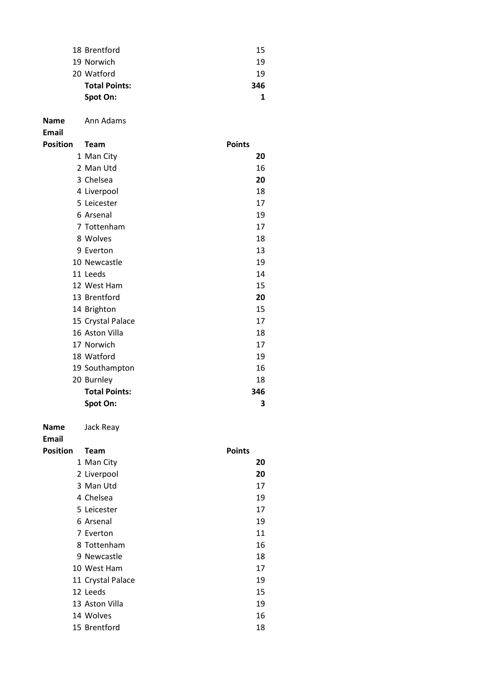| 18 Brentford         | 15  |
|----------------------|-----|
| 19 Norwich           | 19  |
| 20 Watford           | 19  |
| <b>Total Points:</b> | 346 |
| Spot On:             |     |

Email

| Position | <b>Team</b>          | <b>Points</b> |
|----------|----------------------|---------------|
|          | 1 Man City           | 20            |
|          | 2 Man Utd            | 16            |
|          | 3 Chelsea            | 20            |
|          | 4 Liverpool          | 18            |
|          | 5 Leicester          | 17            |
|          | 6 Arsenal            | 19            |
|          | 7 Tottenham          | 17            |
|          | 8 Wolves             | 18            |
|          | 9 Everton            | 13            |
|          | 10 Newcastle         | 19            |
|          | 11 Leeds             | 14            |
|          | 12 West Ham          | 15            |
|          | 13 Brentford         | 20            |
|          | 14 Brighton          | 15            |
|          | 15 Crystal Palace    | 17            |
|          | 16 Aston Villa       | 18            |
|          | 17 Norwich           | 17            |
|          | 18 Watford           | 19            |
|          | 19 Southampton       | 16            |
|          | 20 Burnley           | 18            |
|          | <b>Total Points:</b> | 346           |
|          | Spot On:             | 3             |

Name Jack Reay

| Position | <b>Team</b>       | <b>Points</b> |    |
|----------|-------------------|---------------|----|
|          | 1 Man City        |               | 20 |
|          | 2 Liverpool       |               | 20 |
|          | 3 Man Utd         |               | 17 |
|          | 4 Chelsea         |               | 19 |
|          | 5 Leicester       |               | 17 |
|          | 6 Arsenal         |               | 19 |
|          | 7 Everton         |               | 11 |
|          | 8 Tottenham       |               | 16 |
|          | 9 Newcastle       |               | 18 |
|          | 10 West Ham       |               | 17 |
|          | 11 Crystal Palace |               | 19 |
|          | 12 Leeds          |               | 15 |
|          | 13 Aston Villa    |               | 19 |
|          | 14 Wolves         |               | 16 |
|          | 15 Brentford      |               | 18 |
|          |                   |               |    |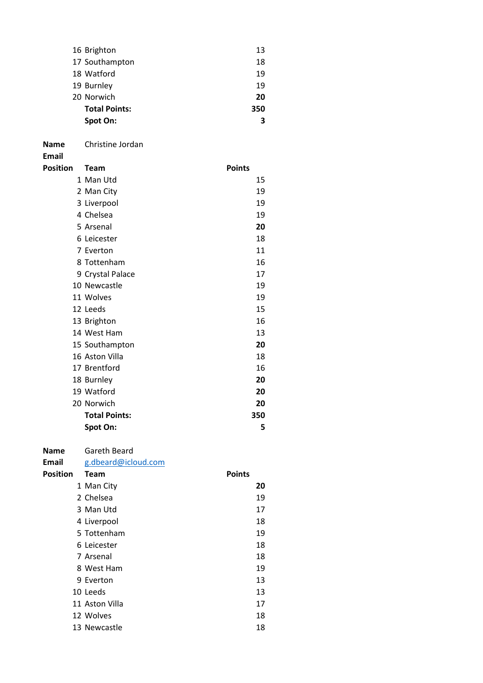| 16 Brighton          | 13  |
|----------------------|-----|
| 17 Southampton       | 18  |
| 18 Watford           | 19  |
| 19 Burnley           | 19  |
| 20 Norwich           | 20  |
| <b>Total Points:</b> | 350 |
| Spot On:             | R   |

Name Christine Jordan

Email

| Position | <b>Team</b>          | <b>Points</b> |
|----------|----------------------|---------------|
|          | 1 Man Utd            | 15            |
|          | 2 Man City           | 19            |
|          | 3 Liverpool          | 19            |
|          | 4 Chelsea            | 19            |
|          | 5 Arsenal            | 20            |
|          | 6 Leicester          | 18            |
|          | 7 Everton            | 11            |
|          | 8 Tottenham          | 16            |
|          | 9 Crystal Palace     | 17            |
|          | 10 Newcastle         | 19            |
|          | 11 Wolves            | 19            |
|          | 12 Leeds             | 15            |
|          | 13 Brighton          | 16            |
|          | 14 West Ham          | 13            |
|          | 15 Southampton       | 20            |
|          | 16 Aston Villa       | 18            |
|          | 17 Brentford         | 16            |
|          | 18 Burnley           | 20            |
|          | 19 Watford           | 20            |
|          | 20 Norwich           | 20            |
|          | <b>Total Points:</b> | 350           |
|          | Spot On:             | 5             |

## Name Gareth Beard

Email g.dbeard@icloud.com Position Team **Points**  Man City 20 Chelsea 19 3 Man Utd 17 4 Liverpool 18 Tottenham 19 Leicester 18 7 Arsenal 18 West Ham 19 9 Everton 13 10 Leeds 13 11 Aston Villa 17 12 Wolves 2012 18 13 Newcastle 18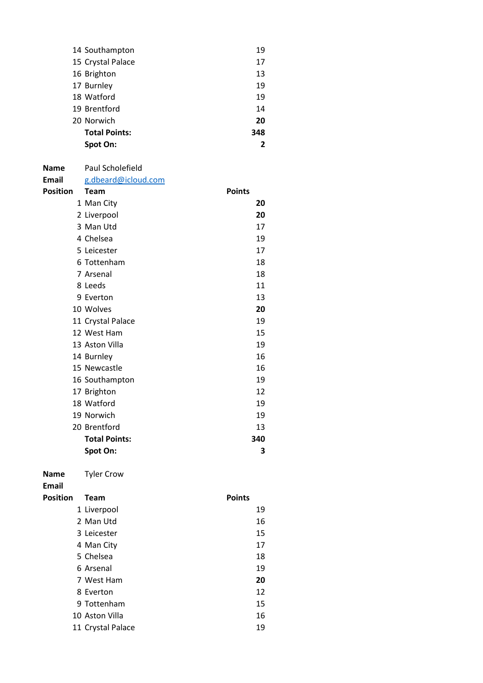| 14 Southampton       | 19  |
|----------------------|-----|
| 15 Crystal Palace    | 17  |
| 16 Brighton          | 13  |
| 17 Burnley           | 19  |
| 18 Watford           | 19  |
| 19 Brentford         | 14  |
| 20 Norwich           | 20  |
| <b>Total Points:</b> | 348 |
| Spot On:             | 2   |

## Name Paul Scholefield

Email g.dbeard@icloud.com

| Position | <b>Team</b>          | <b>Points</b> |
|----------|----------------------|---------------|
|          | 1 Man City           | 20            |
|          | 2 Liverpool          | 20            |
|          | 3 Man Utd            | 17            |
|          | 4 Chelsea            | 19            |
|          | 5 Leicester          | 17            |
|          | 6 Tottenham          | 18            |
|          | 7 Arsenal            | 18            |
|          | 8 Leeds              | 11            |
|          | 9 Everton            | 13            |
|          | 10 Wolves            | 20            |
|          | 11 Crystal Palace    | 19            |
|          | 12 West Ham          | 15            |
|          | 13 Aston Villa       | 19            |
|          | 14 Burnley           | 16            |
|          | 15 Newcastle         | 16            |
|          | 16 Southampton       | 19            |
|          | 17 Brighton          | 12            |
|          | 18 Watford           | 19            |
|          | 19 Norwich           | 19            |
|          | 20 Brentford         | 13            |
|          | <b>Total Points:</b> | 340           |
|          | Spot On:             | 3             |

Name Tyler Crow

| Position | <b>Team</b>       | <b>Points</b> |
|----------|-------------------|---------------|
|          | 1 Liverpool       | 19            |
|          | 2 Man Utd         | 16            |
|          | 3 Leicester       | 15            |
|          | 4 Man City        | 17            |
|          | 5 Chelsea         | 18            |
|          | 6 Arsenal         | 19            |
|          | 7 West Ham        | 20            |
|          | 8 Everton         | 12            |
|          | 9 Tottenham       | 15            |
|          | 10 Aston Villa    | 16            |
|          | 11 Crystal Palace | 19            |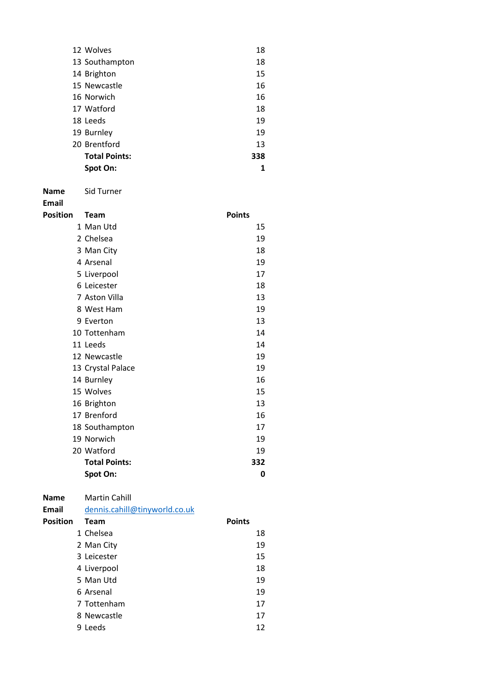| 12 Wolves            | 18  |
|----------------------|-----|
| 13 Southampton       | 18  |
| 14 Brighton          | 15  |
| 15 Newcastle         | 16  |
| 16 Norwich           | 16  |
| 17 Watford           | 18  |
| 18 Leeds             | 19  |
| 19 Burnley           | 19  |
| 20 Brentford         | 13  |
| <b>Total Points:</b> | 338 |
| Spot On:             | 1   |

Name Sid Turner

| Position | <b>Team</b>          | <b>Points</b> |
|----------|----------------------|---------------|
|          | 1 Man Utd            | 15            |
|          | 2 Chelsea            | 19            |
|          | 3 Man City           | 18            |
|          | 4 Arsenal            | 19            |
|          | 5 Liverpool          | 17            |
|          | 6 Leicester          | 18            |
|          | 7 Aston Villa        | 13            |
|          | 8 West Ham           | 19            |
|          | 9 Everton            | 13            |
|          | 10 Tottenham         | 14            |
|          | 11 Leeds             | 14            |
|          | 12 Newcastle         | 19            |
|          | 13 Crystal Palace    | 19            |
|          | 14 Burnley           | 16            |
|          | 15 Wolves            | 15            |
|          | 16 Brighton          | 13            |
|          | 17 Brenford          | 16            |
|          | 18 Southampton       | 17            |
|          | 19 Norwich           | 19            |
|          | 20 Watford           | 19            |
|          | <b>Total Points:</b> | 332           |
|          | Spot On:             | 0             |

| <b>Name</b>     | <b>Martin Cahill</b>          |               |    |
|-----------------|-------------------------------|---------------|----|
| Email           | dennis.cahill@tinyworld.co.uk |               |    |
| <b>Position</b> | Team                          | <b>Points</b> |    |
|                 | 1 Chelsea                     |               | 18 |
|                 | 2 Man City                    |               | 19 |
|                 | 3 Leicester                   |               | 15 |
|                 | 4 Liverpool                   |               | 18 |
|                 | 5 Man Utd                     |               | 19 |
|                 | 6 Arsenal                     |               | 19 |
|                 | 7 Tottenham                   |               | 17 |
|                 | 8 Newcastle                   |               | 17 |
| 9               | Leeds                         |               | 12 |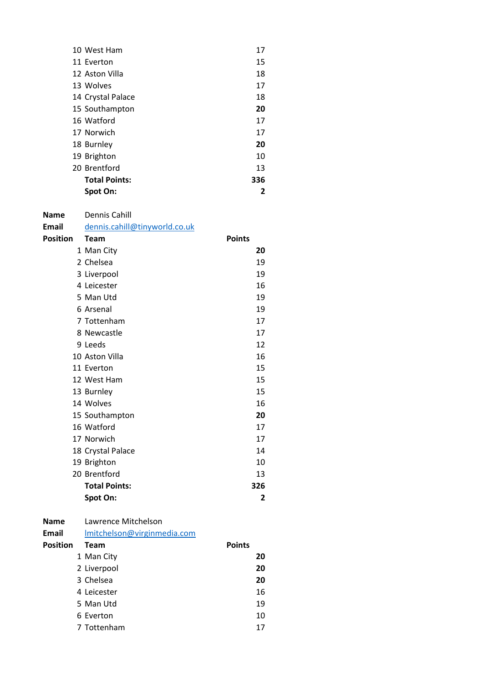| 10 West Ham          | 17  |
|----------------------|-----|
| 11 Everton           | 15  |
| 12 Aston Villa       | 18  |
| 13 Wolves            | 17  |
| 14 Crystal Palace    | 18  |
| 15 Southampton       | 20  |
| 16 Watford           | 17  |
| 17 Norwich           | 17  |
| 18 Burnley           | 20  |
| 19 Brighton          | 10  |
| 20 Brentford         | 13  |
| <b>Total Points:</b> | 336 |
| Spot On:             | 2   |

| <b>Name</b><br><b>Email</b> | Dennis Cahill<br>dennis.cahill@tinyworld.co.uk |               |
|-----------------------------|------------------------------------------------|---------------|
| <b>Position</b>             | <b>Team</b>                                    | <b>Points</b> |
|                             | 1 Man City                                     | 20            |
|                             | 2 Chelsea                                      | 19            |
|                             | 3 Liverpool                                    | 19            |
|                             | 4 Leicester                                    | 16            |
|                             | 5 Man Utd                                      | 19            |
|                             | 6 Arsenal                                      | 19            |
|                             | 7 Tottenham                                    | 17            |
|                             | 8 Newcastle                                    | 17            |
|                             | 9 Leeds                                        | 12            |
|                             | 10 Aston Villa                                 | 16            |
|                             | 11 Everton                                     | 15            |
|                             | 12 West Ham                                    | 15            |
|                             | 13 Burnley                                     | 15            |
|                             | 14 Wolves                                      | 16            |
|                             | 15 Southampton                                 | 20            |
|                             | 16 Watford                                     | 17            |
|                             | 17 Norwich                                     | 17            |
|                             | 18 Crystal Palace                              | 14            |
|                             | 19 Brighton                                    | 10            |
|                             | 20 Brentford                                   | 13            |
|                             | <b>Total Points:</b>                           | 326           |
|                             | Spot On:                                       | 2             |

| Lawrence Mitchelson<br><b>Name</b> |
|------------------------------------|
|------------------------------------|

| Email           | Imitchelson@virginmedia.com |               |
|-----------------|-----------------------------|---------------|
| <b>Position</b> | <b>Team</b>                 | <b>Points</b> |
|                 | 1 Man City                  | 20            |
|                 | 2 Liverpool                 | 20            |
|                 | 3 Chelsea                   | 20            |
|                 | 4 Leicester                 | 16            |
|                 | 5 Man Utd                   | 19            |
|                 | 6 Everton                   | 10            |
|                 | 7 Tottenham                 | 17            |
|                 |                             |               |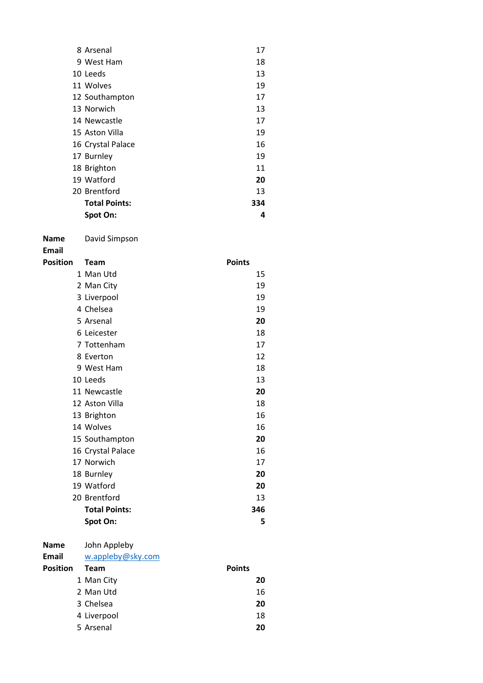| 8 Arsenal            | 17  |
|----------------------|-----|
| 9 West Ham           | 18  |
| 10 Leeds             | 13  |
| 11 Wolves            | 19  |
| 12 Southampton       | 17  |
| 13 Norwich           | 13  |
| 14 Newcastle         | 17  |
| 15 Aston Villa       | 19  |
| 16 Crystal Palace    | 16  |
| 17 Burnley           | 19  |
| 18 Brighton          | 11  |
| 19 Watford           | 20  |
| 20 Brentford         | 13  |
| <b>Total Points:</b> | 334 |
| Spot On:             | 4   |

Name David Simpson

Email

| Position | Team                 | <b>Points</b> |
|----------|----------------------|---------------|
|          | 1 Man Utd            | 15            |
|          | 2 Man City           | 19            |
|          | 3 Liverpool          | 19            |
|          | 4 Chelsea            | 19            |
|          | 5 Arsenal            | 20            |
|          | 6 Leicester          | 18            |
|          | 7 Tottenham          | 17            |
|          | 8 Everton            | 12            |
|          | 9 West Ham           | 18            |
|          | 10 Leeds             | 13            |
|          | 11 Newcastle         | 20            |
|          | 12 Aston Villa       | 18            |
|          | 13 Brighton          | 16            |
|          | 14 Wolves            | 16            |
|          | 15 Southampton       | 20            |
|          | 16 Crystal Palace    | 16            |
|          | 17 Norwich           | 17            |
|          | 18 Burnley           | 20            |
|          | 19 Watford           | 20            |
|          | 20 Brentford         | 13            |
|          | <b>Total Points:</b> | 346           |
|          | Spot On:             | 5             |

Name John Appleby

#### Email w.appleby@sky.com

Position Team **Points**  Man City 20 2 Man Utd 16 Chelsea 20 4 Liverpool 18 Arsenal 20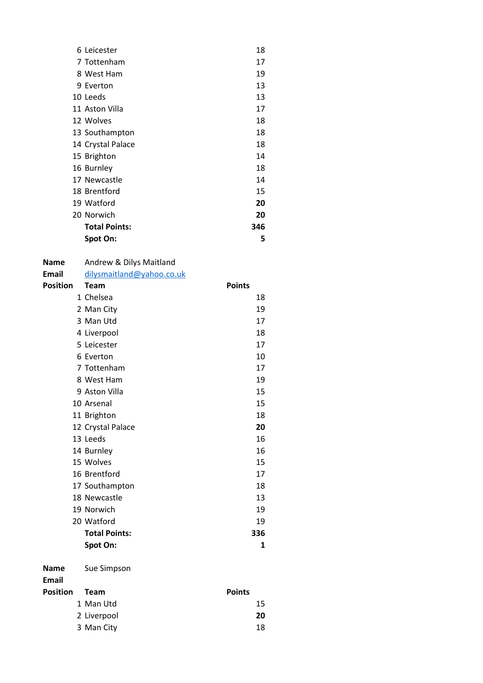| 6 Leicester          | 18  |
|----------------------|-----|
| 7 Tottenham          | 17  |
| 8 West Ham           | 19  |
| 9 Everton            | 13  |
| 10 Leeds             | 13  |
| 11 Aston Villa       | 17  |
| 12 Wolves            | 18  |
| 13 Southampton       | 18  |
| 14 Crystal Palace    | 18  |
| 15 Brighton          | 14  |
| 16 Burnley           | 18  |
| 17 Newcastle         | 14  |
| 18 Brentford         | 15  |
| 19 Watford           | 20  |
| 20 Norwich           | 20  |
| <b>Total Points:</b> | 346 |
| Spot On:             | 5   |

# Name Andrew & Dilys Maitland<br>
Email dilysmaitland@vahoo.co.

| Email    | dilysmaitland@yahoo.co.uk |               |
|----------|---------------------------|---------------|
| Position | <b>Team</b>               | <b>Points</b> |
|          | 1 Chelsea                 | 18            |
|          | 2 Man City                | 19            |
|          | 3 Man Utd                 | 17            |
|          | 4 Liverpool               | 18            |
|          | 5 Leicester               | 17            |
|          | 6 Everton                 | 10            |
|          | 7 Tottenham               | 17            |
|          | 8 West Ham                | 19            |
|          | 9 Aston Villa             | 15            |
|          | 10 Arsenal                | 15            |
|          | 11 Brighton               | 18            |
|          | 12 Crystal Palace         | 20            |
|          | 13 Leeds                  | 16            |
|          | 14 Burnley                | 16            |
|          | 15 Wolves                 | 15            |
|          | 16 Brentford              | 17            |
|          | 17 Southampton            | 18            |
|          | 18 Newcastle              | 13            |
|          | 19 Norwich                | 19            |
|          | 20 Watford                | 19            |
|          | <b>Total Points:</b>      | 336           |
|          | Spot On:                  | 1             |
|          |                           |               |

Name Sue Simpson

| Position | <b>Team</b> | <b>Points</b> |    |
|----------|-------------|---------------|----|
|          | 1 Man Utd   |               | 15 |
|          | 2 Liverpool |               | 20 |
|          | 3 Man City  |               | 18 |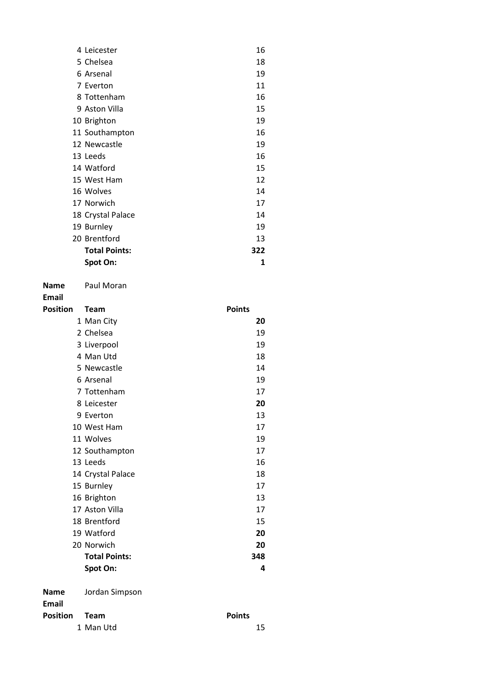| Spot On:             | 1   |
|----------------------|-----|
| <b>Total Points:</b> | 322 |
| 20 Brentford         | 13  |
| 19 Burnley           | 19  |
| 18 Crystal Palace    | 14  |
| 17 Norwich           | 17  |
| 16 Wolves            | 14  |
| 15 West Ham          | 12  |
| 14 Watford           | 15  |
| 13 Leeds             | 16  |
| 12 Newcastle         | 19  |
| 11 Southampton       | 16  |
| 10 Brighton          | 19  |
| 9 Aston Villa        | 15  |
| 8 Tottenham          | 16  |
| 7 Everton            | 11  |
| 6 Arsenal            | 19  |
| 5 Chelsea            | 18  |
| 4 Leicester          | 16  |

Name Paul Moran

| <b>Position</b> | <b>Team</b>          | <b>Points</b> |
|-----------------|----------------------|---------------|
|                 | 1 Man City           | 20            |
|                 | 2 Chelsea            | 19            |
|                 | 3 Liverpool          | 19            |
|                 | 4 Man Utd            | 18            |
|                 | 5 Newcastle          | 14            |
|                 | 6 Arsenal            | 19            |
|                 | 7 Tottenham          | 17            |
|                 | 8 Leicester          | 20            |
|                 | 9 Everton            | 13            |
|                 | 10 West Ham          | 17            |
|                 | 11 Wolves            | 19            |
|                 | 12 Southampton       | 17            |
|                 | 13 Leeds             | 16            |
|                 | 14 Crystal Palace    | 18            |
|                 | 15 Burnley           | 17            |
|                 | 16 Brighton          | 13            |
|                 | 17 Aston Villa       | 17            |
|                 | 18 Brentford         | 15            |
|                 | 19 Watford           | 20            |
|                 | 20 Norwich           | 20            |
|                 | <b>Total Points:</b> | 348           |
|                 | Spot On:             | 4             |
| <b>Name</b>     | Jordan Simpson       |               |
| <b>Email</b>    |                      |               |
| <b>Position</b> | <b>Team</b>          | <b>Points</b> |

| 15 |
|----|
|    |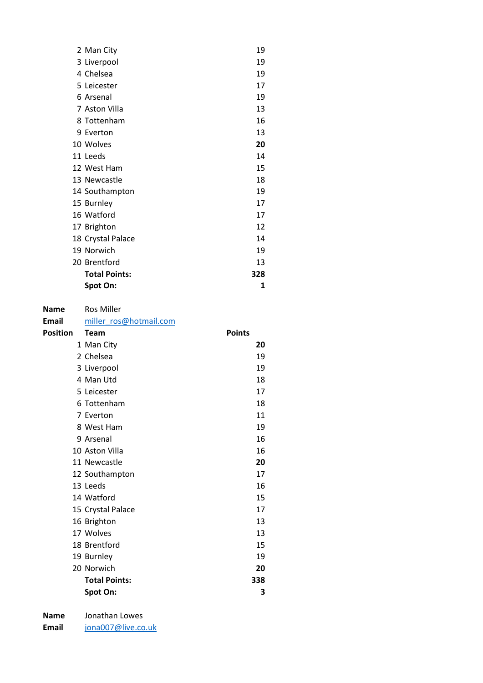| 2 Man City           | 19  |  |
|----------------------|-----|--|
| 3 Liverpool          | 19  |  |
| 4 Chelsea            | 19  |  |
| 5 Leicester          | 17  |  |
| 6 Arsenal            | 19  |  |
| 7 Aston Villa        | 13  |  |
| 8 Tottenham          | 16  |  |
| 9 Everton            | 13  |  |
| 10 Wolves            | 20  |  |
| 11 Leeds             | 14  |  |
| 12 West Ham          | 15  |  |
| 13 Newcastle         | 18  |  |
| 14 Southampton       | 19  |  |
| 15 Burnley           | 17  |  |
| 16 Watford           | 17  |  |
| 17 Brighton          | 12  |  |
| 18 Crystal Palace    | 14  |  |
| 19 Norwich           | 19  |  |
| 20 Brentford         | 13  |  |
| <b>Total Points:</b> | 328 |  |
| Spot On:             | 1   |  |

| <b>Name</b>     | <b>Ros Miller</b>      |               |
|-----------------|------------------------|---------------|
| Email           | miller_ros@hotmail.com |               |
| <b>Position</b> | <b>Team</b>            | <b>Points</b> |
|                 | 1 Man City             | 20            |
|                 | 2 Chelsea              | 19            |
|                 | 3 Liverpool            | 19            |
|                 | 4 Man Utd              | 18            |
|                 | 5 Leicester            | 17            |
|                 | 6 Tottenham            | 18            |
|                 | 7 Everton              | 11            |
|                 | 8 West Ham             | 19            |
|                 | 9 Arsenal              | 16            |
|                 | 10 Aston Villa         | 16            |
|                 | 11 Newcastle           | 20            |
|                 | 12 Southampton         | 17            |
|                 | 13 Leeds               | 16            |
|                 | 14 Watford             | 15            |
|                 | 15 Crystal Palace      | 17            |
|                 | 16 Brighton            | 13            |
|                 | 17 Wolves              | 13            |
|                 | 18 Brentford           | 15            |
|                 | 19 Burnley             | 19            |
|                 | 20 Norwich             | 20            |
|                 | <b>Total Points:</b>   | 338           |
|                 | Spot On:               | 3             |